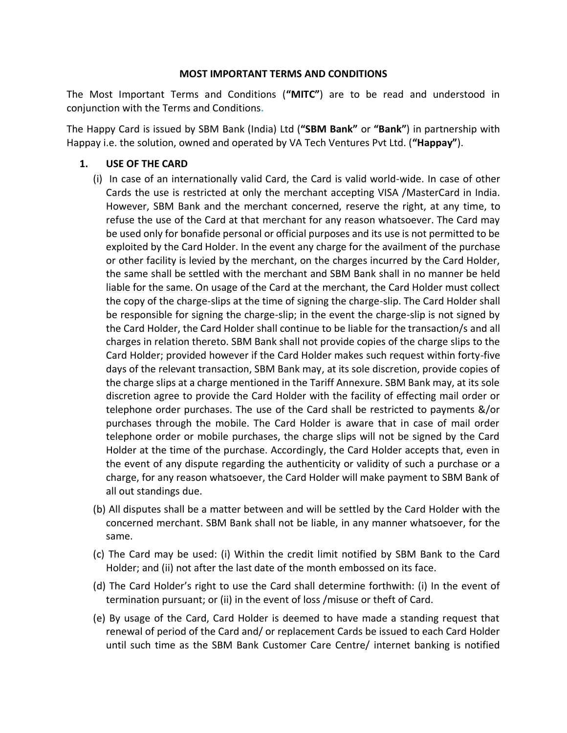### **MOST IMPORTANT TERMS AND CONDITIONS**

The Most Important Terms and Conditions (**"MITC"**) are to be read and understood in conjunction with the Terms and Conditions**.** 

The Happy Card is issued by SBM Bank (India) Ltd (**"SBM Bank"** or **"Bank"**) in partnership with Happay i.e. the solution, owned and operated by VA Tech Ventures Pvt Ltd. (**"Happay"**).

# **1. USE OF THE CARD**

- (i) In case of an internationally valid Card, the Card is valid world-wide. In case of other Cards the use is restricted at only the merchant accepting VISA /MasterCard in India. However, SBM Bank and the merchant concerned, reserve the right, at any time, to refuse the use of the Card at that merchant for any reason whatsoever. The Card may be used only for bonafide personal or official purposes and its use is not permitted to be exploited by the Card Holder. In the event any charge for the availment of the purchase or other facility is levied by the merchant, on the charges incurred by the Card Holder, the same shall be settled with the merchant and SBM Bank shall in no manner be held liable for the same. On usage of the Card at the merchant, the Card Holder must collect the copy of the charge-slips at the time of signing the charge-slip. The Card Holder shall be responsible for signing the charge-slip; in the event the charge-slip is not signed by the Card Holder, the Card Holder shall continue to be liable for the transaction/s and all charges in relation thereto. SBM Bank shall not provide copies of the charge slips to the Card Holder; provided however if the Card Holder makes such request within forty-five days of the relevant transaction, SBM Bank may, at its sole discretion, provide copies of the charge slips at a charge mentioned in the Tariff Annexure. SBM Bank may, at its sole discretion agree to provide the Card Holder with the facility of effecting mail order or telephone order purchases. The use of the Card shall be restricted to payments &/or purchases through the mobile. The Card Holder is aware that in case of mail order telephone order or mobile purchases, the charge slips will not be signed by the Card Holder at the time of the purchase. Accordingly, the Card Holder accepts that, even in the event of any dispute regarding the authenticity or validity of such a purchase or a charge, for any reason whatsoever, the Card Holder will make payment to SBM Bank of all out standings due.
- (b) All disputes shall be a matter between and will be settled by the Card Holder with the concerned merchant. SBM Bank shall not be liable, in any manner whatsoever, for the same.
- (c) The Card may be used: (i) Within the credit limit notified by SBM Bank to the Card Holder; and (ii) not after the last date of the month embossed on its face.
- (d) The Card Holder's right to use the Card shall determine forthwith: (i) In the event of termination pursuant; or (ii) in the event of loss /misuse or theft of Card.
- (e) By usage of the Card, Card Holder is deemed to have made a standing request that renewal of period of the Card and/ or replacement Cards be issued to each Card Holder until such time as the SBM Bank Customer Care Centre/ internet banking is notified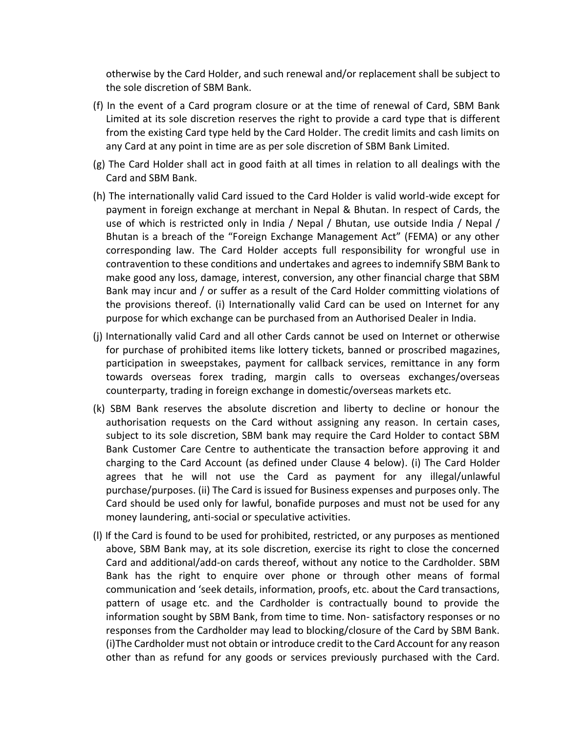otherwise by the Card Holder, and such renewal and/or replacement shall be subject to the sole discretion of SBM Bank.

- (f) In the event of a Card program closure or at the time of renewal of Card, SBM Bank Limited at its sole discretion reserves the right to provide a card type that is different from the existing Card type held by the Card Holder. The credit limits and cash limits on any Card at any point in time are as per sole discretion of SBM Bank Limited.
- (g) The Card Holder shall act in good faith at all times in relation to all dealings with the Card and SBM Bank.
- (h) The internationally valid Card issued to the Card Holder is valid world-wide except for payment in foreign exchange at merchant in Nepal & Bhutan. In respect of Cards, the use of which is restricted only in India / Nepal / Bhutan, use outside India / Nepal / Bhutan is a breach of the "Foreign Exchange Management Act" (FEMA) or any other corresponding law. The Card Holder accepts full responsibility for wrongful use in contravention to these conditions and undertakes and agrees to indemnify SBM Bank to make good any loss, damage, interest, conversion, any other financial charge that SBM Bank may incur and / or suffer as a result of the Card Holder committing violations of the provisions thereof. (i) Internationally valid Card can be used on Internet for any purpose for which exchange can be purchased from an Authorised Dealer in India.
- (j) Internationally valid Card and all other Cards cannot be used on Internet or otherwise for purchase of prohibited items like lottery tickets, banned or proscribed magazines, participation in sweepstakes, payment for callback services, remittance in any form towards overseas forex trading, margin calls to overseas exchanges/overseas counterparty, trading in foreign exchange in domestic/overseas markets etc.
- (k) SBM Bank reserves the absolute discretion and liberty to decline or honour the authorisation requests on the Card without assigning any reason. In certain cases, subject to its sole discretion, SBM bank may require the Card Holder to contact SBM Bank Customer Care Centre to authenticate the transaction before approving it and charging to the Card Account (as defined under Clause 4 below). (i) The Card Holder agrees that he will not use the Card as payment for any illegal/unlawful purchase/purposes. (ii) The Card is issued for Business expenses and purposes only. The Card should be used only for lawful, bonafide purposes and must not be used for any money laundering, anti-social or speculative activities.
- (l) If the Card is found to be used for prohibited, restricted, or any purposes as mentioned above, SBM Bank may, at its sole discretion, exercise its right to close the concerned Card and additional/add-on cards thereof, without any notice to the Cardholder. SBM Bank has the right to enquire over phone or through other means of formal communication and 'seek details, information, proofs, etc. about the Card transactions, pattern of usage etc. and the Cardholder is contractually bound to provide the information sought by SBM Bank, from time to time. Non- satisfactory responses or no responses from the Cardholder may lead to blocking/closure of the Card by SBM Bank. (i)The Cardholder must not obtain or introduce credit to the Card Account for any reason other than as refund for any goods or services previously purchased with the Card.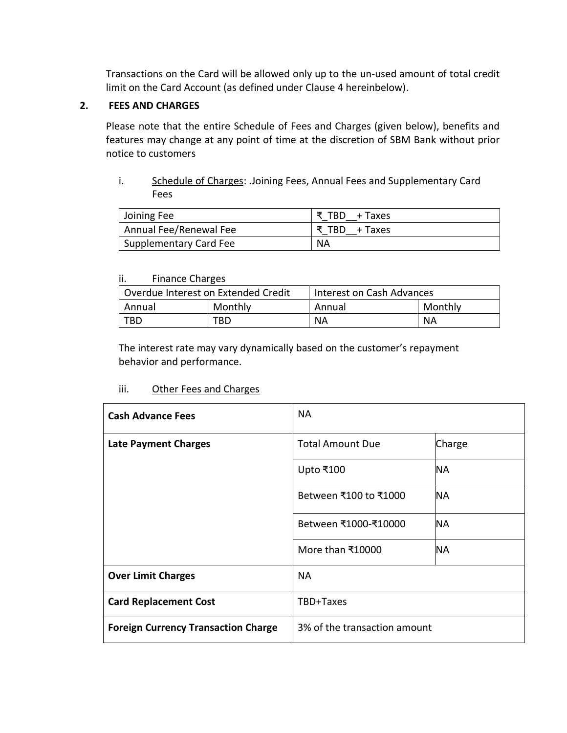Transactions on the Card will be allowed only up to the un-used amount of total credit limit on the Card Account (as defined under Clause 4 hereinbelow).

### **2. FEES AND CHARGES**

Please note that the entire Schedule of Fees and Charges (given below), benefits and features may change at any point of time at the discretion of SBM Bank without prior notice to customers

i. Schedule of Charges: .Joining Fees, Annual Fees and Supplementary Card Fees

| Joining Fee            | र TBD + Taxes |
|------------------------|---------------|
| Annual Fee/Renewal Fee | ₹ TBD + Taxes |
| Supplementary Card Fee | ΝA            |

#### ii. Finance Charges

| Overdue Interest on Extended Credit |         | Interest on Cash Advances |           |
|-------------------------------------|---------|---------------------------|-----------|
| Annual                              | Monthly | Annual                    | Monthly   |
| TBD                                 | TBD.    | <b>NA</b>                 | <b>NA</b> |

The interest rate may vary dynamically based on the customer's repayment behavior and performance.

# iii. Other Fees and Charges

| <b>Cash Advance Fees</b>                   | <b>NA</b>                    |           |
|--------------------------------------------|------------------------------|-----------|
| <b>Late Payment Charges</b>                | <b>Total Amount Due</b>      | Charge    |
|                                            | Upto ₹100                    | <b>NA</b> |
|                                            | Between ₹100 to ₹1000        | <b>NA</b> |
|                                            | Between ₹1000-₹10000         | <b>NA</b> |
|                                            | More than ₹10000             | <b>NA</b> |
| <b>Over Limit Charges</b>                  | NA.                          |           |
| <b>Card Replacement Cost</b>               | TBD+Taxes                    |           |
| <b>Foreign Currency Transaction Charge</b> | 3% of the transaction amount |           |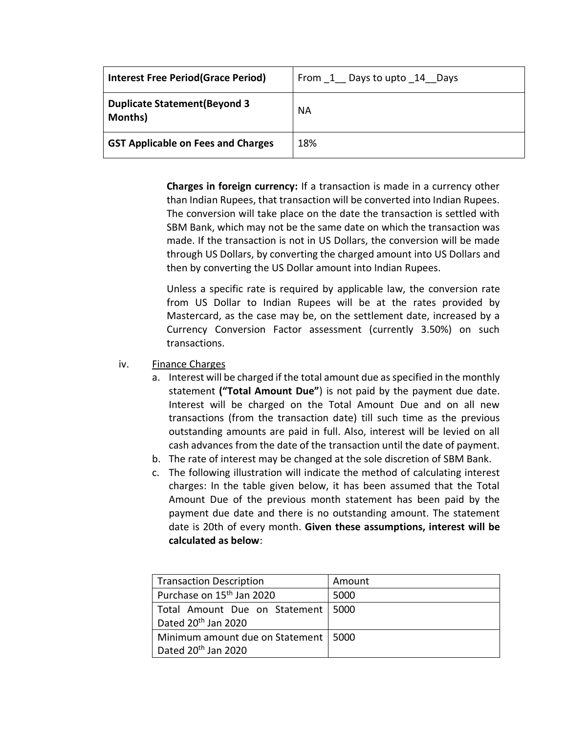| <b>Interest Free Period (Grace Period)</b>       | From 1 Days to upto 14 Days |
|--------------------------------------------------|-----------------------------|
| <b>Duplicate Statement (Beyond 3)</b><br>Months) | <b>NA</b>                   |
| <b>GST Applicable on Fees and Charges</b>        | 18%                         |

**Charges in foreign currency:** If a transaction is made in a currency other than Indian Rupees, that transaction will be converted into Indian Rupees. The conversion will take place on the date the transaction is settled with SBM Bank, which may not be the same date on which the transaction was made. If the transaction is not in US Dollars, the conversion will be made through US Dollars, by converting the charged amount into US Dollars and then by converting the US Dollar amount into Indian Rupees.

Unless a specific rate is required by applicable law, the conversion rate from US Dollar to Indian Rupees will be at the rates provided by Mastercard, as the case may be, on the settlement date, increased by a Currency Conversion Factor assessment (currently 3.50%) on such transactions.

- iv. Finance Charges
	- a. Interest will be charged if the total amount due as specified in the monthly statement **("Total Amount Due"**) is not paid by the payment due date. Interest will be charged on the Total Amount Due and on all new transactions (from the transaction date) till such time as the previous outstanding amounts are paid in full. Also, interest will be levied on all cash advances from the date of the transaction until the date of payment.
	- b. The rate of interest may be changed at the sole discretion of SBM Bank.
	- c. The following illustration will indicate the method of calculating interest charges: In the table given below, it has been assumed that the Total Amount Due of the previous month statement has been paid by the payment due date and there is no outstanding amount. The statement date is 20th of every month. **Given these assumptions, interest will be calculated as below**:

| <b>Transaction Description</b>         | Amount |
|----------------------------------------|--------|
| Purchase on 15 <sup>th</sup> Jan 2020  | 5000   |
| Total Amount Due on Statement   5000   |        |
| Dated 20 <sup>th</sup> Jan 2020        |        |
| Minimum amount due on Statement   5000 |        |
| Dated 20 <sup>th</sup> Jan 2020        |        |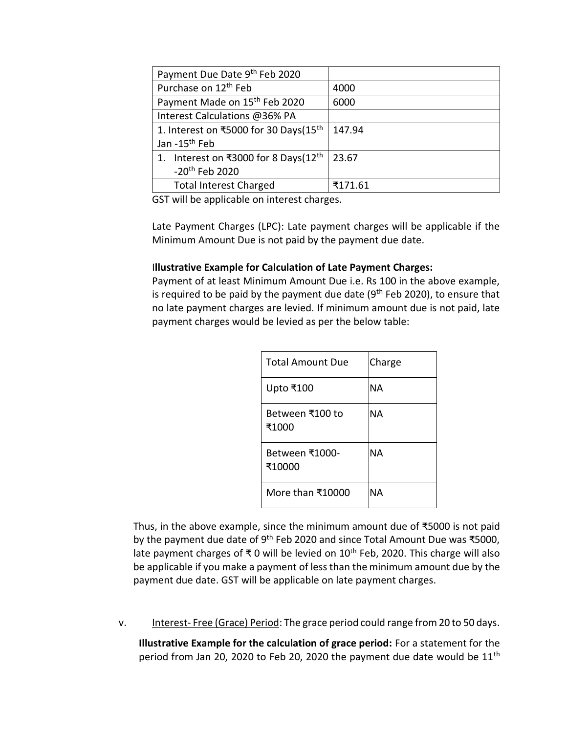| Payment Due Date 9th Feb 2020                     |         |
|---------------------------------------------------|---------|
| Purchase on 12 <sup>th</sup> Feb                  | 4000    |
| Payment Made on 15 <sup>th</sup> Feb 2020         | 6000    |
| Interest Calculations @36% PA                     |         |
| 1. Interest on ₹5000 for 30 Days(15 <sup>th</sup> | 147.94  |
| Jan -15 <sup>th</sup> Feb                         |         |
| 1. Interest on ₹3000 for 8 Days(12 <sup>th</sup>  | 23.67   |
| -20 <sup>th</sup> Feb 2020                        |         |
| <b>Total Interest Charged</b>                     | ₹171.61 |

GST will be applicable on interest charges.

Late Payment Charges (LPC): Late payment charges will be applicable if the Minimum Amount Due is not paid by the payment due date.

# I**llustrative Example for Calculation of Late Payment Charges:**

Payment of at least Minimum Amount Due i.e. Rs 100 in the above example, is required to be paid by the payment due date  $(9<sup>th</sup>$  Feb 2020), to ensure that no late payment charges are levied. If minimum amount due is not paid, late payment charges would be levied as per the below table:

| <b>Total Amount Due</b>  | Charge |
|--------------------------|--------|
| Upto ₹100                | ΝA     |
| Between ₹100 to<br>₹1000 | ΝA     |
| Between ₹1000-<br>₹10000 | NА     |
| More than ₹10000         | ΝA     |

Thus, in the above example, since the minimum amount due of ₹5000 is not paid by the payment due date of 9<sup>th</sup> Feb 2020 and since Total Amount Due was ₹5000, late payment charges of ₹ 0 will be levied on  $10^{th}$  Feb, 2020. This charge will also be applicable if you make a payment of less than the minimum amount due by the payment due date. GST will be applicable on late payment charges.

v. Interest- Free (Grace) Period: The grace period could range from 20 to 50 days.

**Illustrative Example for the calculation of grace period:** For a statement for the period from Jan 20, 2020 to Feb 20, 2020 the payment due date would be 11<sup>th</sup>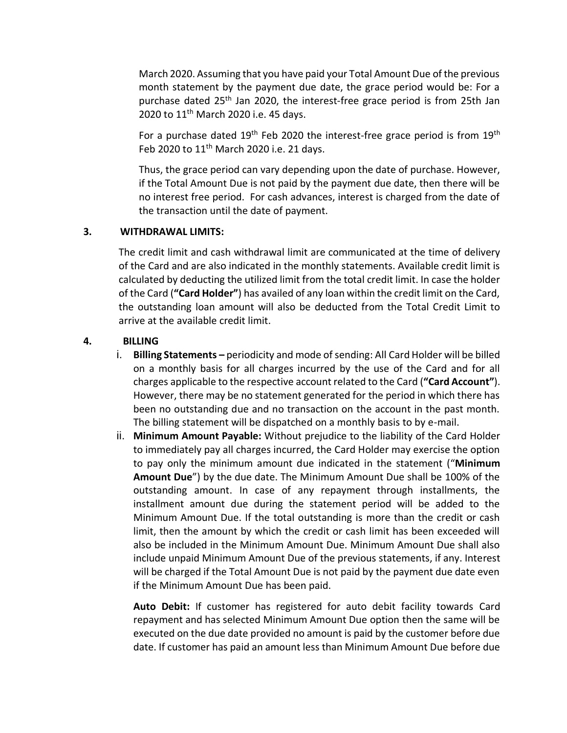March 2020. Assuming that you have paid your Total Amount Due of the previous month statement by the payment due date, the grace period would be: For a purchase dated 25<sup>th</sup> Jan 2020, the interest-free grace period is from 25th Jan 2020 to 11<sup>th</sup> March 2020 i.e. 45 days.

For a purchase dated 19<sup>th</sup> Feb 2020 the interest-free grace period is from 19<sup>th</sup> Feb 2020 to 11th March 2020 i.e. 21 days.

Thus, the grace period can vary depending upon the date of purchase. However, if the Total Amount Due is not paid by the payment due date, then there will be no interest free period. For cash advances, interest is charged from the date of the transaction until the date of payment.

# **3. WITHDRAWAL LIMITS:**

The credit limit and cash withdrawal limit are communicated at the time of delivery of the Card and are also indicated in the monthly statements. Available credit limit is calculated by deducting the utilized limit from the total credit limit. In case the holder of the Card (**"Card Holder"**) has availed of any loan within the credit limit on the Card, the outstanding loan amount will also be deducted from the Total Credit Limit to arrive at the available credit limit.

# **4. BILLING**

- i. **Billing Statements –** periodicity and mode of sending: All Card Holder will be billed on a monthly basis for all charges incurred by the use of the Card and for all charges applicable to the respective account related to the Card (**"Card Account"**). However, there may be no statement generated for the period in which there has been no outstanding due and no transaction on the account in the past month. The billing statement will be dispatched on a monthly basis to by e-mail.
- ii. **Minimum Amount Payable:** Without prejudice to the liability of the Card Holder to immediately pay all charges incurred, the Card Holder may exercise the option to pay only the minimum amount due indicated in the statement ("**Minimum Amount Due**") by the due date. The Minimum Amount Due shall be 100% of the outstanding amount. In case of any repayment through installments, the installment amount due during the statement period will be added to the Minimum Amount Due. If the total outstanding is more than the credit or cash limit, then the amount by which the credit or cash limit has been exceeded will also be included in the Minimum Amount Due. Minimum Amount Due shall also include unpaid Minimum Amount Due of the previous statements, if any. Interest will be charged if the Total Amount Due is not paid by the payment due date even if the Minimum Amount Due has been paid.

**Auto Debit:** If customer has registered for auto debit facility towards Card repayment and has selected Minimum Amount Due option then the same will be executed on the due date provided no amount is paid by the customer before due date. If customer has paid an amount less than Minimum Amount Due before due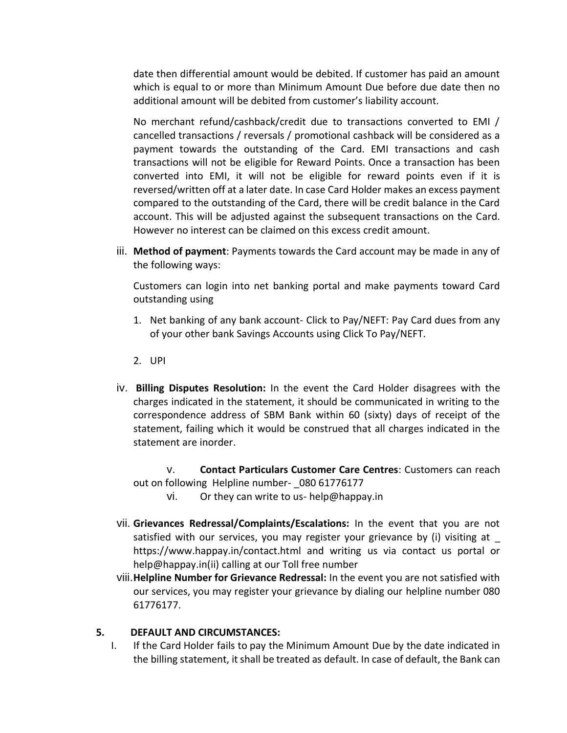date then differential amount would be debited. If customer has paid an amount which is equal to or more than Minimum Amount Due before due date then no additional amount will be debited from customer's liability account.

No merchant refund/cashback/credit due to transactions converted to EMI / cancelled transactions / reversals / promotional cashback will be considered as a payment towards the outstanding of the Card. EMI transactions and cash transactions will not be eligible for Reward Points. Once a transaction has been converted into EMI, it will not be eligible for reward points even if it is reversed/written off at a later date. In case Card Holder makes an excess payment compared to the outstanding of the Card, there will be credit balance in the Card account. This will be adjusted against the subsequent transactions on the Card. However no interest can be claimed on this excess credit amount.

iii. **Method of payment**: Payments towards the Card account may be made in any of the following ways:

Customers can login into net banking portal and make payments toward Card outstanding using

- 1. Net banking of any bank account- Click to Pay/NEFT: Pay Card dues from any of your other bank Savings Accounts using Click To Pay/NEFT.
- 2. UPI
- iv. **Billing Disputes Resolution:** In the event the Card Holder disagrees with the charges indicated in the statement, it should be communicated in writing to the correspondence address of SBM Bank within 60 (sixty) days of receipt of the statement, failing which it would be construed that all charges indicated in the statement are inorder.

v. **Contact Particulars Customer Care Centres**: Customers can reach out on following Helpline number- 080 61776177

- vi. Or they can write to us- help@happay.in
- vii. **Grievances Redressal/Complaints/Escalations:** In the event that you are not satisfied with our services, you may register your grievance by (i) visiting at \_ https://www.happay.in/contact.html and writing us via contact us portal or help@happay.in(ii) calling at our Toll free number
- viii.**Helpline Number for Grievance Redressal:** In the event you are not satisfied with our services, you may register your grievance by dialing our helpline number 080 61776177.

### **5. DEFAULT AND CIRCUMSTANCES:**

I. If the Card Holder fails to pay the Minimum Amount Due by the date indicated in the billing statement, it shall be treated as default. In case of default, the Bank can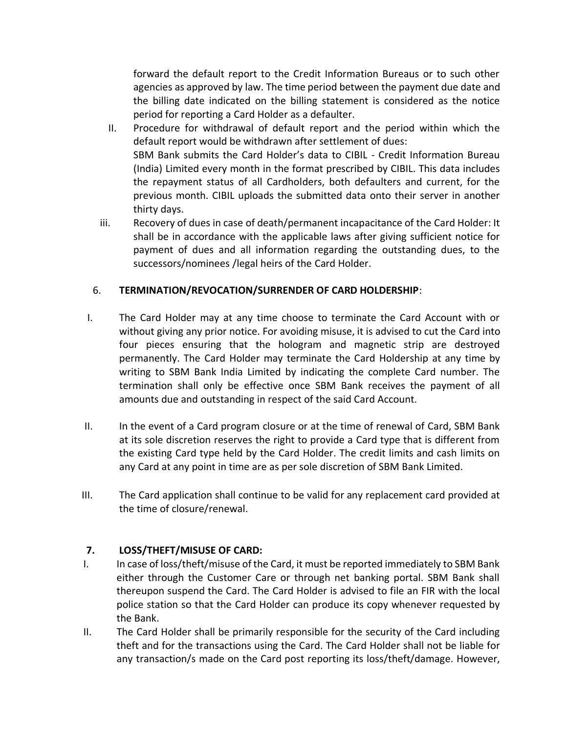forward the default report to the Credit Information Bureaus or to such other agencies as approved by law. The time period between the payment due date and the billing date indicated on the billing statement is considered as the notice period for reporting a Card Holder as a defaulter.

- II. Procedure for withdrawal of default report and the period within which the default report would be withdrawn after settlement of dues: SBM Bank submits the Card Holder's data to CIBIL - Credit Information Bureau (India) Limited every month in the format prescribed by CIBIL. This data includes the repayment status of all Cardholders, both defaulters and current, for the previous month. CIBIL uploads the submitted data onto their server in another thirty days.
- iii. Recovery of dues in case of death/permanent incapacitance of the Card Holder: It shall be in accordance with the applicable laws after giving sufficient notice for payment of dues and all information regarding the outstanding dues, to the successors/nominees /legal heirs of the Card Holder.

# 6. **TERMINATION/REVOCATION/SURRENDER OF CARD HOLDERSHIP**:

- I. The Card Holder may at any time choose to terminate the Card Account with or without giving any prior notice. For avoiding misuse, it is advised to cut the Card into four pieces ensuring that the hologram and magnetic strip are destroyed permanently. The Card Holder may terminate the Card Holdership at any time by writing to SBM Bank India Limited by indicating the complete Card number. The termination shall only be effective once SBM Bank receives the payment of all amounts due and outstanding in respect of the said Card Account.
- II. In the event of a Card program closure or at the time of renewal of Card, SBM Bank at its sole discretion reserves the right to provide a Card type that is different from the existing Card type held by the Card Holder. The credit limits and cash limits on any Card at any point in time are as per sole discretion of SBM Bank Limited.
- III. The Card application shall continue to be valid for any replacement card provided at the time of closure/renewal.

# **7. LOSS/THEFT/MISUSE OF CARD:**

- I. In case of loss/theft/misuse of the Card, it must be reported immediately to SBM Bank either through the Customer Care or through net banking portal. SBM Bank shall thereupon suspend the Card. The Card Holder is advised to file an FIR with the local police station so that the Card Holder can produce its copy whenever requested by the Bank.
- II. The Card Holder shall be primarily responsible for the security of the Card including theft and for the transactions using the Card. The Card Holder shall not be liable for any transaction/s made on the Card post reporting its loss/theft/damage. However,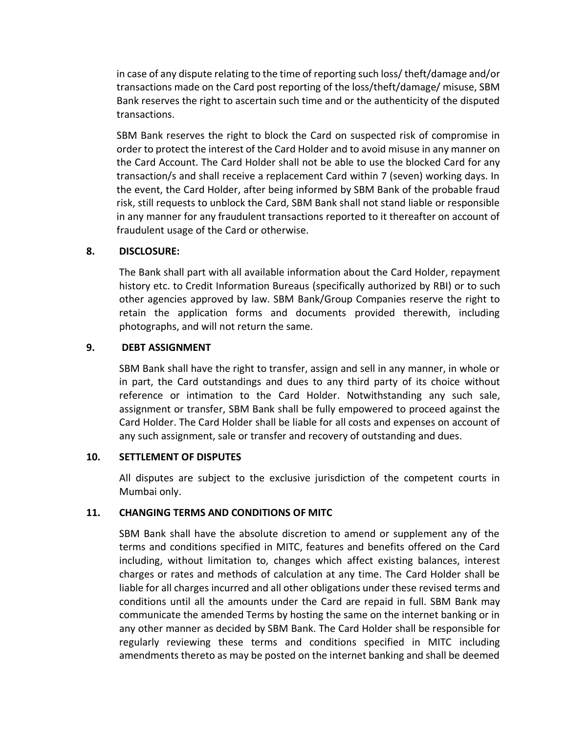in case of any dispute relating to the time of reporting such loss/ theft/damage and/or transactions made on the Card post reporting of the loss/theft/damage/ misuse, SBM Bank reserves the right to ascertain such time and or the authenticity of the disputed transactions.

SBM Bank reserves the right to block the Card on suspected risk of compromise in order to protect the interest of the Card Holder and to avoid misuse in any manner on the Card Account. The Card Holder shall not be able to use the blocked Card for any transaction/s and shall receive a replacement Card within 7 (seven) working days. In the event, the Card Holder, after being informed by SBM Bank of the probable fraud risk, still requests to unblock the Card, SBM Bank shall not stand liable or responsible in any manner for any fraudulent transactions reported to it thereafter on account of fraudulent usage of the Card or otherwise.

### **8. DISCLOSURE:**

The Bank shall part with all available information about the Card Holder, repayment history etc. to Credit Information Bureaus (specifically authorized by RBI) or to such other agencies approved by law. SBM Bank/Group Companies reserve the right to retain the application forms and documents provided therewith, including photographs, and will not return the same.

#### **9. DEBT ASSIGNMENT**

SBM Bank shall have the right to transfer, assign and sell in any manner, in whole or in part, the Card outstandings and dues to any third party of its choice without reference or intimation to the Card Holder. Notwithstanding any such sale, assignment or transfer, SBM Bank shall be fully empowered to proceed against the Card Holder. The Card Holder shall be liable for all costs and expenses on account of any such assignment, sale or transfer and recovery of outstanding and dues.

### **10. SETTLEMENT OF DISPUTES**

All disputes are subject to the exclusive jurisdiction of the competent courts in Mumbai only.

### **11. CHANGING TERMS AND CONDITIONS OF MITC**

SBM Bank shall have the absolute discretion to amend or supplement any of the terms and conditions specified in MITC, features and benefits offered on the Card including, without limitation to, changes which affect existing balances, interest charges or rates and methods of calculation at any time. The Card Holder shall be liable for all charges incurred and all other obligations under these revised terms and conditions until all the amounts under the Card are repaid in full. SBM Bank may communicate the amended Terms by hosting the same on the internet banking or in any other manner as decided by SBM Bank. The Card Holder shall be responsible for regularly reviewing these terms and conditions specified in MITC including amendments thereto as may be posted on the internet banking and shall be deemed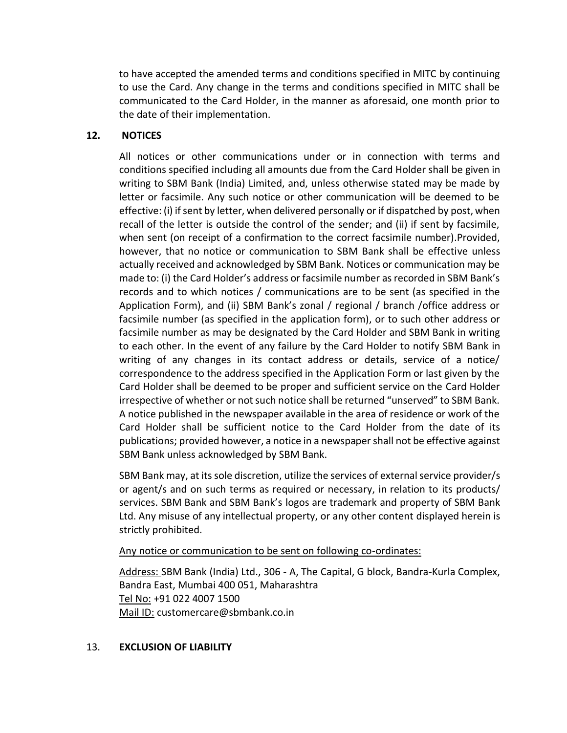to have accepted the amended terms and conditions specified in MITC by continuing to use the Card. Any change in the terms and conditions specified in MITC shall be communicated to the Card Holder, in the manner as aforesaid, one month prior to the date of their implementation.

### **12. NOTICES**

All notices or other communications under or in connection with terms and conditions specified including all amounts due from the Card Holder shall be given in writing to SBM Bank (India) Limited, and, unless otherwise stated may be made by letter or facsimile. Any such notice or other communication will be deemed to be effective: (i) if sent by letter, when delivered personally or if dispatched by post, when recall of the letter is outside the control of the sender; and (ii) if sent by facsimile, when sent (on receipt of a confirmation to the correct facsimile number).Provided, however, that no notice or communication to SBM Bank shall be effective unless actually received and acknowledged by SBM Bank. Notices or communication may be made to: (i) the Card Holder's address or facsimile number as recorded in SBM Bank's records and to which notices / communications are to be sent (as specified in the Application Form), and (ii) SBM Bank's zonal / regional / branch /office address or facsimile number (as specified in the application form), or to such other address or facsimile number as may be designated by the Card Holder and SBM Bank in writing to each other. In the event of any failure by the Card Holder to notify SBM Bank in writing of any changes in its contact address or details, service of a notice/ correspondence to the address specified in the Application Form or last given by the Card Holder shall be deemed to be proper and sufficient service on the Card Holder irrespective of whether or not such notice shall be returned "unserved" to SBM Bank. A notice published in the newspaper available in the area of residence or work of the Card Holder shall be sufficient notice to the Card Holder from the date of its publications; provided however, a notice in a newspaper shall not be effective against SBM Bank unless acknowledged by SBM Bank.

SBM Bank may, at its sole discretion, utilize the services of external service provider/s or agent/s and on such terms as required or necessary, in relation to its products/ services. SBM Bank and SBM Bank's logos are trademark and property of SBM Bank Ltd. Any misuse of any intellectual property, or any other content displayed herein is strictly prohibited.

#### Any notice or communication to be sent on following co-ordinates:

Address: SBM Bank (India) Ltd., 306 - A, The Capital, G block, Bandra-Kurla Complex, Bandra East, Mumbai 400 051, Maharashtra Tel No: +91 022 4007 1500 Mail ID: customercare@sbmbank.co.in

### 13. **EXCLUSION OF LIABILITY**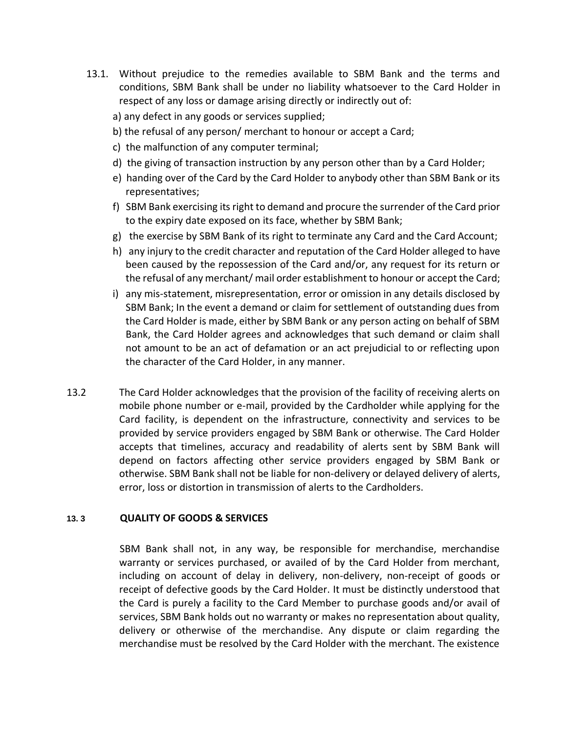- 13.1. Without prejudice to the remedies available to SBM Bank and the terms and conditions, SBM Bank shall be under no liability whatsoever to the Card Holder in respect of any loss or damage arising directly or indirectly out of:
	- a) any defect in any goods or services supplied;
	- b) the refusal of any person/ merchant to honour or accept a Card;
	- c) the malfunction of any computer terminal;
	- d) the giving of transaction instruction by any person other than by a Card Holder;
	- e) handing over of the Card by the Card Holder to anybody other than SBM Bank or its representatives;
	- f) SBM Bank exercising its right to demand and procure the surrender of the Card prior to the expiry date exposed on its face, whether by SBM Bank;
	- g) the exercise by SBM Bank of its right to terminate any Card and the Card Account;
	- h) any injury to the credit character and reputation of the Card Holder alleged to have been caused by the repossession of the Card and/or, any request for its return or the refusal of any merchant/ mail order establishment to honour or accept the Card;
	- i) any mis-statement, misrepresentation, error or omission in any details disclosed by SBM Bank; In the event a demand or claim for settlement of outstanding dues from the Card Holder is made, either by SBM Bank or any person acting on behalf of SBM Bank, the Card Holder agrees and acknowledges that such demand or claim shall not amount to be an act of defamation or an act prejudicial to or reflecting upon the character of the Card Holder, in any manner.
- 13.2 The Card Holder acknowledges that the provision of the facility of receiving alerts on mobile phone number or e-mail, provided by the Cardholder while applying for the Card facility, is dependent on the infrastructure, connectivity and services to be provided by service providers engaged by SBM Bank or otherwise. The Card Holder accepts that timelines, accuracy and readability of alerts sent by SBM Bank will depend on factors affecting other service providers engaged by SBM Bank or otherwise. SBM Bank shall not be liable for non-delivery or delayed delivery of alerts, error, loss or distortion in transmission of alerts to the Cardholders.

### **13. 3 QUALITY OF GOODS & SERVICES**

SBM Bank shall not, in any way, be responsible for merchandise, merchandise warranty or services purchased, or availed of by the Card Holder from merchant, including on account of delay in delivery, non-delivery, non-receipt of goods or receipt of defective goods by the Card Holder. It must be distinctly understood that the Card is purely a facility to the Card Member to purchase goods and/or avail of services, SBM Bank holds out no warranty or makes no representation about quality, delivery or otherwise of the merchandise. Any dispute or claim regarding the merchandise must be resolved by the Card Holder with the merchant. The existence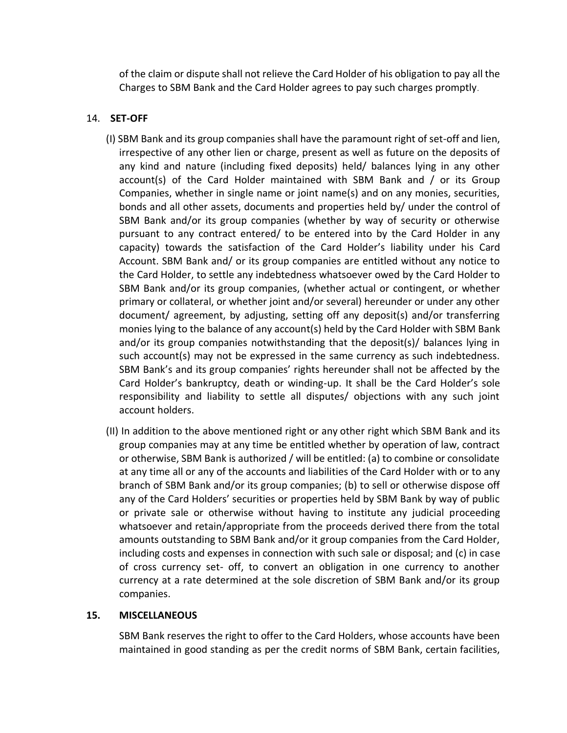of the claim or dispute shall not relieve the Card Holder of his obligation to pay all the Charges to SBM Bank and the Card Holder agrees to pay such charges promptly.

# 14. **SET-OFF**

- (I) SBM Bank and its group companies shall have the paramount right of set-off and lien, irrespective of any other lien or charge, present as well as future on the deposits of any kind and nature (including fixed deposits) held/ balances lying in any other account(s) of the Card Holder maintained with SBM Bank and / or its Group Companies, whether in single name or joint name(s) and on any monies, securities, bonds and all other assets, documents and properties held by/ under the control of SBM Bank and/or its group companies (whether by way of security or otherwise pursuant to any contract entered/ to be entered into by the Card Holder in any capacity) towards the satisfaction of the Card Holder's liability under his Card Account. SBM Bank and/ or its group companies are entitled without any notice to the Card Holder, to settle any indebtedness whatsoever owed by the Card Holder to SBM Bank and/or its group companies, (whether actual or contingent, or whether primary or collateral, or whether joint and/or several) hereunder or under any other document/ agreement, by adjusting, setting off any deposit(s) and/or transferring monies lying to the balance of any account(s) held by the Card Holder with SBM Bank and/or its group companies notwithstanding that the deposit(s)/ balances lying in such account(s) may not be expressed in the same currency as such indebtedness. SBM Bank's and its group companies' rights hereunder shall not be affected by the Card Holder's bankruptcy, death or winding-up. It shall be the Card Holder's sole responsibility and liability to settle all disputes/ objections with any such joint account holders.
- (II) In addition to the above mentioned right or any other right which SBM Bank and its group companies may at any time be entitled whether by operation of law, contract or otherwise, SBM Bank is authorized / will be entitled: (a) to combine or consolidate at any time all or any of the accounts and liabilities of the Card Holder with or to any branch of SBM Bank and/or its group companies; (b) to sell or otherwise dispose off any of the Card Holders' securities or properties held by SBM Bank by way of public or private sale or otherwise without having to institute any judicial proceeding whatsoever and retain/appropriate from the proceeds derived there from the total amounts outstanding to SBM Bank and/or it group companies from the Card Holder, including costs and expenses in connection with such sale or disposal; and (c) in case of cross currency set- off, to convert an obligation in one currency to another currency at a rate determined at the sole discretion of SBM Bank and/or its group companies.

### **15. MISCELLANEOUS**

SBM Bank reserves the right to offer to the Card Holders, whose accounts have been maintained in good standing as per the credit norms of SBM Bank, certain facilities,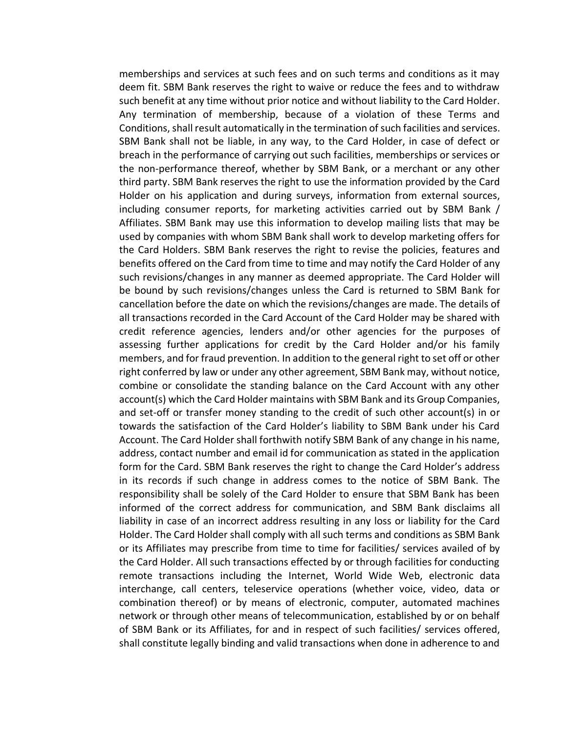memberships and services at such fees and on such terms and conditions as it may deem fit. SBM Bank reserves the right to waive or reduce the fees and to withdraw such benefit at any time without prior notice and without liability to the Card Holder. Any termination of membership, because of a violation of these Terms and Conditions, shall result automatically in the termination of such facilities and services. SBM Bank shall not be liable, in any way, to the Card Holder, in case of defect or breach in the performance of carrying out such facilities, memberships or services or the non-performance thereof, whether by SBM Bank, or a merchant or any other third party. SBM Bank reserves the right to use the information provided by the Card Holder on his application and during surveys, information from external sources, including consumer reports, for marketing activities carried out by SBM Bank / Affiliates. SBM Bank may use this information to develop mailing lists that may be used by companies with whom SBM Bank shall work to develop marketing offers for the Card Holders. SBM Bank reserves the right to revise the policies, features and benefits offered on the Card from time to time and may notify the Card Holder of any such revisions/changes in any manner as deemed appropriate. The Card Holder will be bound by such revisions/changes unless the Card is returned to SBM Bank for cancellation before the date on which the revisions/changes are made. The details of all transactions recorded in the Card Account of the Card Holder may be shared with credit reference agencies, lenders and/or other agencies for the purposes of assessing further applications for credit by the Card Holder and/or his family members, and for fraud prevention. In addition to the general right to set off or other right conferred by law or under any other agreement, SBM Bank may, without notice, combine or consolidate the standing balance on the Card Account with any other account(s) which the Card Holder maintains with SBM Bank and its Group Companies, and set-off or transfer money standing to the credit of such other account(s) in or towards the satisfaction of the Card Holder's liability to SBM Bank under his Card Account. The Card Holder shall forthwith notify SBM Bank of any change in his name, address, contact number and email id for communication as stated in the application form for the Card. SBM Bank reserves the right to change the Card Holder's address in its records if such change in address comes to the notice of SBM Bank. The responsibility shall be solely of the Card Holder to ensure that SBM Bank has been informed of the correct address for communication, and SBM Bank disclaims all liability in case of an incorrect address resulting in any loss or liability for the Card Holder. The Card Holder shall comply with all such terms and conditions as SBM Bank or its Affiliates may prescribe from time to time for facilities/ services availed of by the Card Holder. All such transactions effected by or through facilities for conducting remote transactions including the Internet, World Wide Web, electronic data interchange, call centers, teleservice operations (whether voice, video, data or combination thereof) or by means of electronic, computer, automated machines network or through other means of telecommunication, established by or on behalf of SBM Bank or its Affiliates, for and in respect of such facilities/ services offered, shall constitute legally binding and valid transactions when done in adherence to and